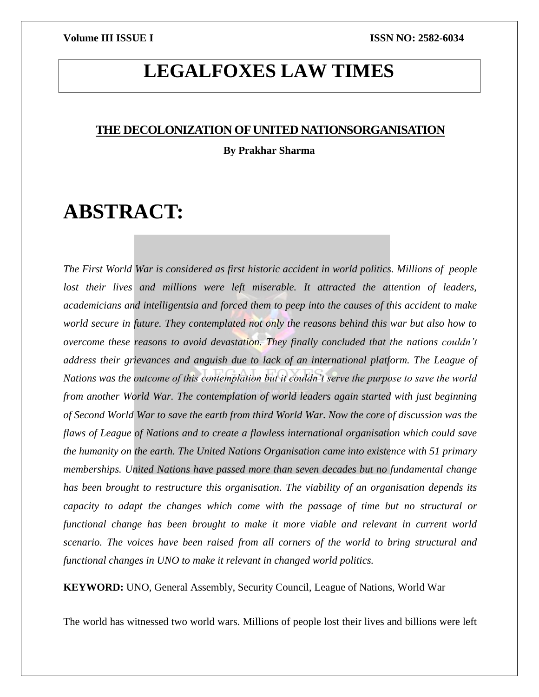## **LEGALFOXES LAW TIMES**

### **THE DECOLONIZATION OF UNITED NATIONSORGANISATION**

**By Prakhar Sharma**

# **ABSTRACT:**

*The First World War is considered as first historic accident in world politics. Millions of people* lost their lives and millions were left miserable. It attracted the attention of leaders, *academicians and intelligentsia and forced them to peep into the causes of this accident to make world secure in future. They contemplated not only the reasons behind this war but also how to overcome these reasons to avoid devastation. They finally concluded that the nations couldn't address their grievances and anguish due to lack of an international platform. The League of Nations was the outcome of this contemplation but it couldn't serve the purpose to save the world from another World War. The contemplation of world leaders again started with just beginning of Second World War to save the earth from third World War. Now the core of discussion was the flaws of League of Nations and to create a flawless international organisation which could save the humanity on the earth. The United Nations Organisation came into existence with 51 primary memberships. United Nations have passed more than seven decades but no fundamental change has been brought to restructure this organisation. The viability of an organisation depends its capacity to adapt the changes which come with the passage of time but no structural or functional change has been brought to make it more viable and relevant in current world scenario. The voices have been raised from all corners of the world to bring structural and functional changes in UNO to make it relevant in changed world politics.*

**KEYWORD:** UNO, General Assembly, Security Council, League of Nations, World War

The world has witnessed two world wars. Millions of people lost their lives and billions were left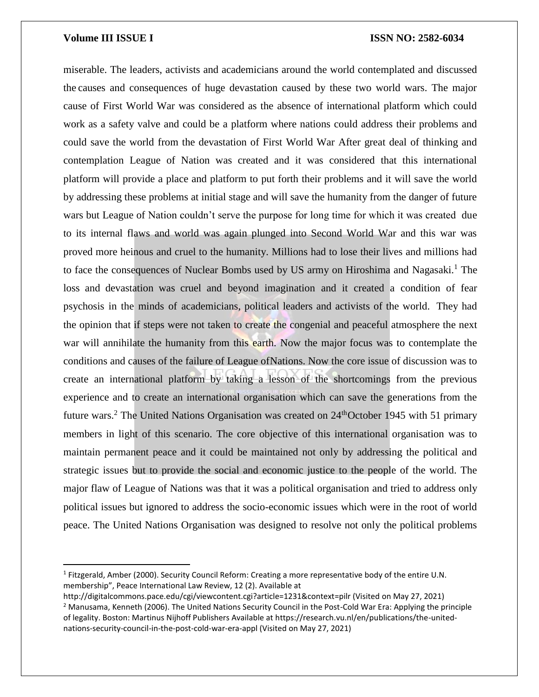l

### **Volume III ISSUE I ISSN NO: 2582-6034**

miserable. The leaders, activists and academicians around the world contemplated and discussed the causes and consequences of huge devastation caused by these two world wars. The major cause of First World War was considered as the absence of international platform which could work as a safety valve and could be a platform where nations could address their problems and could save the world from the devastation of First World War After great deal of thinking and contemplation League of Nation was created and it was considered that this international platform will provide a place and platform to put forth their problems and it will save the world by addressing these problems at initial stage and will save the humanity from the danger of future wars but League of Nation couldn't serve the purpose for long time for which it was created due to its internal flaws and world was again plunged into Second World War and this war was proved more heinous and cruel to the humanity. Millions had to lose their lives and millions had to face the consequences of Nuclear Bombs used by US army on Hiroshima and Nagasaki.<sup>1</sup> The loss and devastation was cruel and beyond imagination and it created a condition of fear psychosis in the minds of academicians, political leaders and activists of the world. They had the opinion that if steps were not taken to create the congenial and peaceful atmosphere the next war will annihilate the humanity from this earth. Now the major focus was to contemplate the conditions and causes of the failure of League ofNations. Now the core issue of discussion was to create an international platform by taking a lesson of the shortcomings from the previous experience and to create an international organisation which can save the generations from the future wars.<sup>2</sup> The United Nations Organisation was created on  $24<sup>th</sup>$ October 1945 with 51 primary members in light of this scenario. The core objective of this international organisation was to maintain permanent peace and it could be maintained not only by addressing the political and strategic issues but to provide the social and economic justice to the people of the world. The major flaw of League of Nations was that it was a political organisation and tried to address only political issues but ignored to address the socio-economic issues which were in the root of world peace. The United Nations Organisation was designed to resolve not only the political problems

<sup>&</sup>lt;sup>1</sup> Fitzgerald, Amber (2000). Security Council Reform: Creating a more representative body of the entire U.N. membership", Peace International Law Review, 12 (2). Available at

http://digitalcommons.pace.edu/cgi/viewcontent.cgi?article=1231&context=pilr (Visited on May 27, 2021) <sup>2</sup> Manusama, Kenneth (2006). The United Nations Security Council in the Post-Cold War Era: Applying the principle of legality. Boston: Martinus Nijhoff Publishers Available at https://research.vu.nl/en/publications/the-unitednations-security-council-in-the-post-cold-war-era-appl (Visited on May 27, 2021)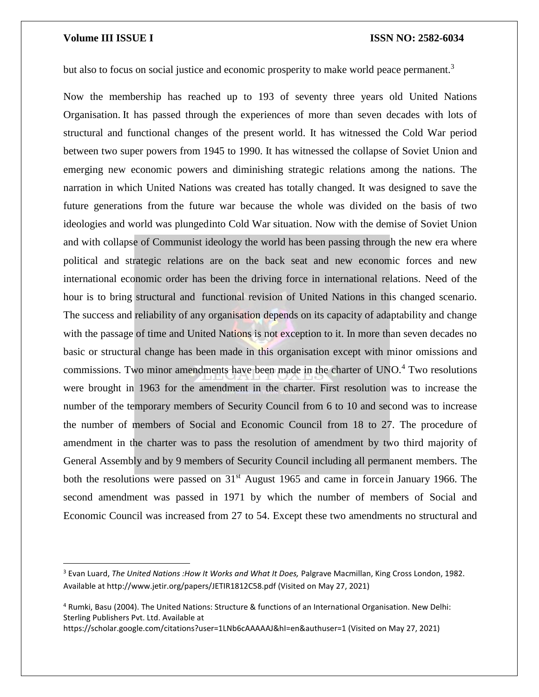$\overline{\phantom{a}}$ 

but also to focus on social justice and economic prosperity to make world peace permanent.<sup>3</sup>

Now the membership has reached up to 193 of seventy three years old United Nations Organisation. It has passed through the experiences of more than seven decades with lots of structural and functional changes of the present world. It has witnessed the Cold War period between two super powers from 1945 to 1990. It has witnessed the collapse of Soviet Union and emerging new economic powers and diminishing strategic relations among the nations. The narration in which United Nations was created has totally changed. It was designed to save the future generations from the future war because the whole was divided on the basis of two ideologies and world was plungedinto Cold War situation. Now with the demise of Soviet Union and with collapse of Communist ideology the world has been passing through the new era where political and strategic relations are on the back seat and new economic forces and new international economic order has been the driving force in international relations. Need of the hour is to bring structural and functional revision of United Nations in this changed scenario. The success and reliability of any organisation depends on its capacity of adaptability and change with the passage of time and United Nations is not exception to it. In more than seven decades no basic or structural change has been made in this organisation except with minor omissions and commissions. Two minor amendments have been made in the charter of UNO.<sup>4</sup> Two resolutions were brought in 1963 for the amendment in the charter. First resolution was to increase the number of the temporary members of Security Council from 6 to 10 and second was to increase the number of members of Social and Economic Council from 18 to 27. The procedure of amendment in the charter was to pass the resolution of amendment by two third majority of General Assembly and by 9 members of Security Council including all permanent members. The both the resolutions were passed on 31<sup>st</sup> August 1965 and came in forcein January 1966. The second amendment was passed in 1971 by which the number of members of Social and Economic Council was increased from 27 to 54. Except these two amendments no structural and

https://scholar.google.com/citations?user=1LNb6cAAAAAJ&hI=en&authuser=1 (Visited on May 27, 2021)

<sup>3</sup> Evan Luard, *The United Nations :How It Works and What It Does,* Palgrave Macmillan, King Cross London, 1982. Available at http://www.jetir.org/papers/JETIR1812C58.pdf (Visited on May 27, 2021)

<sup>4</sup> Rumki, Basu (2004). The United Nations: Structure & functions of an International Organisation. New Delhi: Sterling Publishers Pvt. Ltd. Available at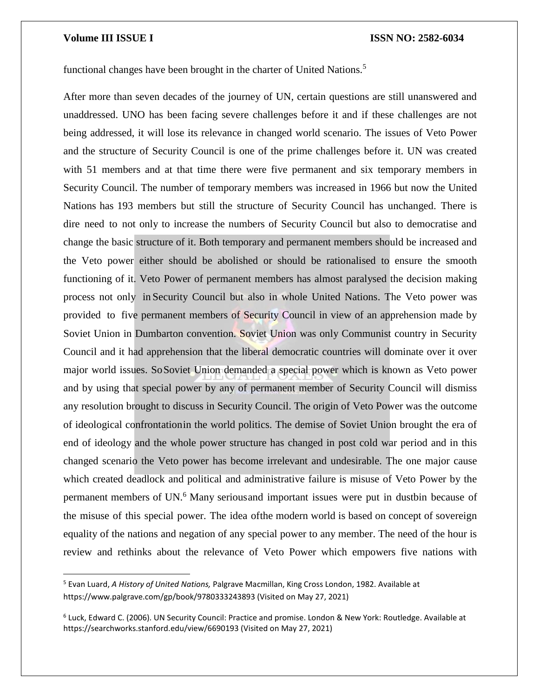$\overline{\phantom{a}}$ 

### **Volume III ISSUE I ISSN NO: 2582-6034**

functional changes have been brought in the charter of United Nations.<sup>5</sup>

After more than seven decades of the journey of UN, certain questions are still unanswered and unaddressed. UNO has been facing severe challenges before it and if these challenges are not being addressed, it will lose its relevance in changed world scenario. The issues of Veto Power and the structure of Security Council is one of the prime challenges before it. UN was created with 51 members and at that time there were five permanent and six temporary members in Security Council. The number of temporary members was increased in 1966 but now the United Nations has 193 members but still the structure of Security Council has unchanged. There is dire need to not only to increase the numbers of Security Council but also to democratise and change the basic structure of it. Both temporary and permanent members should be increased and the Veto power either should be abolished or should be rationalised to ensure the smooth functioning of it. Veto Power of permanent members has almost paralysed the decision making process not only in Security Council but also in whole United Nations. The Veto power was provided to five permanent members of Security Council in view of an apprehension made by Soviet Union in Dumbarton convention. Soviet Union was only Communist country in Security Council and it had apprehension that the liberal democratic countries will dominate over it over major world issues. SoSoviet Union demanded a special power which is known as Veto power and by using that special power by any of permanent member of Security Council will dismiss any resolution brought to discuss in Security Council. The origin of Veto Power was the outcome of ideological confrontationin the world politics. The demise of Soviet Union brought the era of end of ideology and the whole power structure has changed in post cold war period and in this changed scenario the Veto power has become irrelevant and undesirable. The one major cause which created deadlock and political and administrative failure is misuse of Veto Power by the permanent members of UN.<sup>6</sup> Many seriousand important issues were put in dustbin because of the misuse of this special power. The idea ofthe modern world is based on concept of sovereign equality of the nations and negation of any special power to any member. The need of the hour is review and rethinks about the relevance of Veto Power which empowers five nations with

<sup>5</sup> Evan Luard, *A History of United Nations,* Palgrave Macmillan, King Cross London, 1982. Available at https://www.palgrave.com/gp/book/9780333243893 (Visited on May 27, 2021)

<sup>6</sup> Luck, Edward C. (2006). UN Security Council: Practice and promise. London & New York: Routledge. Available at https://searchworks.stanford.edu/view/6690193 (Visited on May 27, 2021)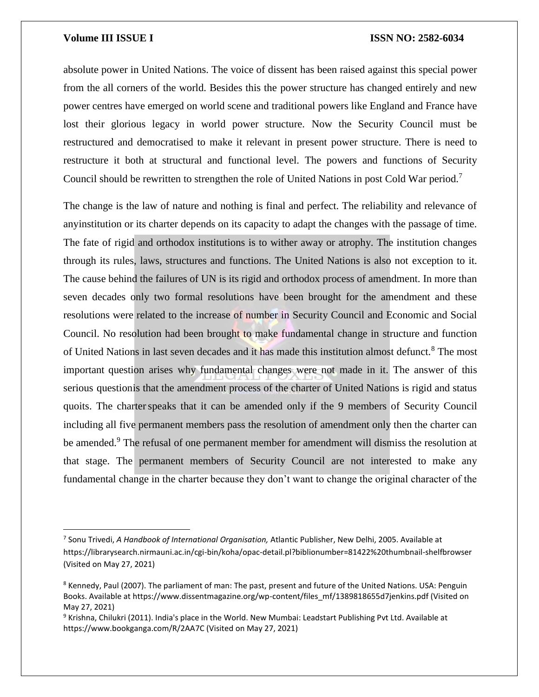$\overline{\phantom{a}}$ 

absolute power in United Nations. The voice of dissent has been raised against this special power from the all corners of the world. Besides this the power structure has changed entirely and new power centres have emerged on world scene and traditional powers like England and France have lost their glorious legacy in world power structure. Now the Security Council must be restructured and democratised to make it relevant in present power structure. There is need to restructure it both at structural and functional level. The powers and functions of Security Council should be rewritten to strengthen the role of United Nations in post Cold War period.<sup>7</sup>

The change is the law of nature and nothing is final and perfect. The reliability and relevance of anyinstitution or its charter depends on its capacity to adapt the changes with the passage of time. The fate of rigid and orthodox institutions is to wither away or atrophy. The institution changes through its rules, laws, structures and functions. The United Nations is also not exception to it. The cause behind the failures of UN is its rigid and orthodox process of amendment. In more than seven decades only two formal resolutions have been brought for the amendment and these resolutions were related to the increase of number in Security Council and Economic and Social Council. No resolution had been brought to make fundamental change in structure and function of United Nations in last seven decades and it has made this institution almost defunct.<sup>8</sup> The most important question arises why fundamental changes were not made in it. The answer of this serious questionis that the amendment process of the charter of United Nations is rigid and status quoits. The charter speaks that it can be amended only if the 9 members of Security Council including all five permanent members pass the resolution of amendment only then the charter can be amended.<sup>9</sup> The refusal of one permanent member for amendment will dismiss the resolution at that stage. The permanent members of Security Council are not interested to make any fundamental change in the charter because they don't want to change the original character of the

<sup>7</sup> Sonu Trivedi, *A Handbook of International Organisation,* Atlantic Publisher, New Delhi, 2005. Available at https://librarysearch.nirmauni.ac.in/cgi-bin/koha/opac-detail.pl?biblionumber=81422%20thumbnail-shelfbrowser (Visited on May 27, 2021)

<sup>8</sup> Kennedy, Paul (2007). The parliament of man: The past, present and future of the United Nations. USA: Penguin Books. Available at https://www.dissentmagazine.org/wp-content/files\_mf/1389818655d7jenkins.pdf (Visited on May 27, 2021)

<sup>&</sup>lt;sup>9</sup> Krishna, Chilukri (2011). India's place in the World. New Mumbai: Leadstart Publishing Pvt Ltd. Available at https://www.bookganga.com/R/2AA7C (Visited on May 27, 2021)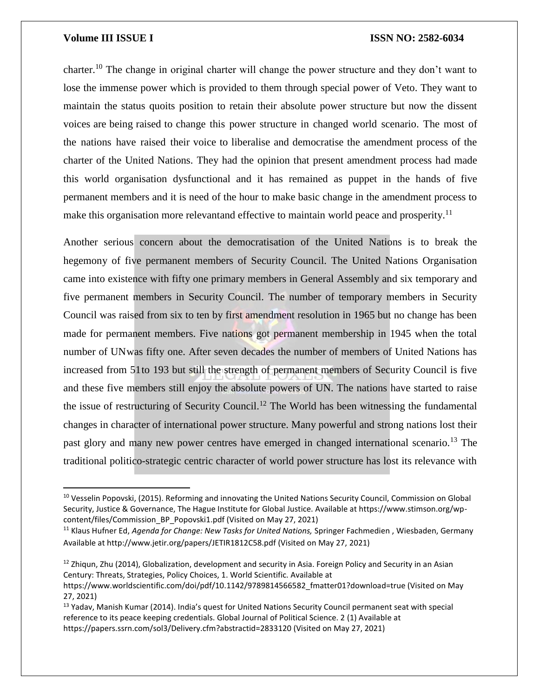l

### **Volume III ISSUE I ISSN NO: 2582-6034**

charter.<sup>10</sup> The change in original charter will change the power structure and they don't want to lose the immense power which is provided to them through special power of Veto. They want to maintain the status quoits position to retain their absolute power structure but now the dissent voices are being raised to change this power structure in changed world scenario. The most of the nations have raised their voice to liberalise and democratise the amendment process of the charter of the United Nations. They had the opinion that present amendment process had made this world organisation dysfunctional and it has remained as puppet in the hands of five permanent members and it is need of the hour to make basic change in the amendment process to make this organisation more relevantand effective to maintain world peace and prosperity.<sup>11</sup>

Another serious concern about the democratisation of the United Nations is to break the hegemony of five permanent members of Security Council. The United Nations Organisation came into existence with fifty one primary members in General Assembly and six temporary and five permanent members in Security Council. The number of temporary members in Security Council was raised from six to ten by first amendment resolution in 1965 but no change has been made for permanent members. Five nations got permanent membership in 1945 when the total number of UNwas fifty one. After seven decades the number of members of United Nations has increased from 51to 193 but still the strength of permanent members of Security Council is five and these five members still enjoy the absolute powers of UN. The nations have started to raise the issue of restructuring of Security Council.<sup>12</sup> The World has been witnessing the fundamental changes in character of international power structure. Many powerful and strong nations lost their past glory and many new power centres have emerged in changed international scenario.<sup>13</sup> The traditional politico-strategic centric character of world power structure has lost its relevance with

<sup>&</sup>lt;sup>10</sup> Vesselin Popovski, (2015). Reforming and innovating the United Nations Security Council, Commission on Global Security, Justice & Governance, The Hague Institute for Global Justice. Available at https://www.stimson.org/wpcontent/files/Commission\_BP\_Popovski1.pdf (Visited on May 27, 2021)

<sup>&</sup>lt;sup>11</sup> Klaus Hufner Ed, *Agenda for Change: New Tasks for United Nations*, Springer Fachmedien, Wiesbaden, Germany Available at http://www.jetir.org/papers/JETIR1812C58.pdf (Visited on May 27, 2021)

 $12$  Zhigun, Zhu (2014), Globalization, development and security in Asia. Foreign Policy and Security in an Asian Century: Threats, Strategies, Policy Choices, 1. World Scientific. Available at

https://www.worldscientific.com/doi/pdf/10.1142/9789814566582\_fmatter01?download=true (Visited on May 27, 2021)

<sup>&</sup>lt;sup>13</sup> Yadav, Manish Kumar (2014). India's quest for United Nations Security Council permanent seat with special reference to its peace keeping credentials. Global Journal of Political Science. 2 (1) Available at https://papers.ssrn.com/sol3/Delivery.cfm?abstractid=2833120 (Visited on May 27, 2021)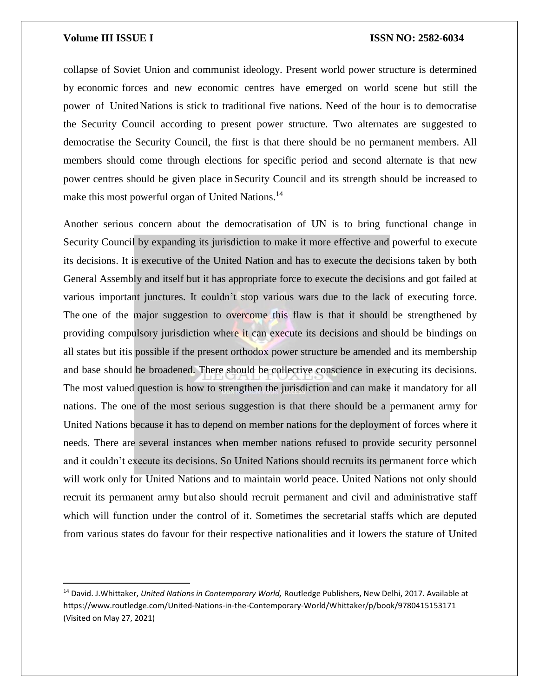$\overline{\phantom{a}}$ 

collapse of Soviet Union and communist ideology. Present world power structure is determined by economic forces and new economic centres have emerged on world scene but still the power of UnitedNations is stick to traditional five nations. Need of the hour is to democratise the Security Council according to present power structure. Two alternates are suggested to democratise the Security Council, the first is that there should be no permanent members. All members should come through elections for specific period and second alternate is that new power centres should be given place inSecurity Council and its strength should be increased to make this most powerful organ of United Nations.<sup>14</sup>

Another serious concern about the democratisation of UN is to bring functional change in Security Council by expanding its jurisdiction to make it more effective and powerful to execute its decisions. It is executive of the United Nation and has to execute the decisions taken by both General Assembly and itself but it has appropriate force to execute the decisions and got failed at various important junctures. It couldn't stop various wars due to the lack of executing force. The one of the major suggestion to overcome this flaw is that it should be strengthened by providing compulsory jurisdiction where it can execute its decisions and should be bindings on all states but itis possible if the present orthodox power structure be amended and its membership and base should be broadened. There should be collective conscience in executing its decisions. The most valued question is how to strengthen the jurisdiction and can make it mandatory for all nations. The one of the most serious suggestion is that there should be a permanent army for United Nations because it has to depend on member nations for the deployment of forces where it needs. There are several instances when member nations refused to provide security personnel and it couldn't execute its decisions. So United Nations should recruits its permanent force which will work only for United Nations and to maintain world peace. United Nations not only should recruit its permanent army but also should recruit permanent and civil and administrative staff which will function under the control of it. Sometimes the secretarial staffs which are deputed from various states do favour for their respective nationalities and it lowers the stature of United

<sup>14</sup> David. J.Whittaker, *United Nations in Contemporary World,* Routledge Publishers, New Delhi, 2017. Available at https://www.routledge.com/United-Nations-in-the-Contemporary-World/Whittaker/p/book/9780415153171 (Visited on May 27, 2021)